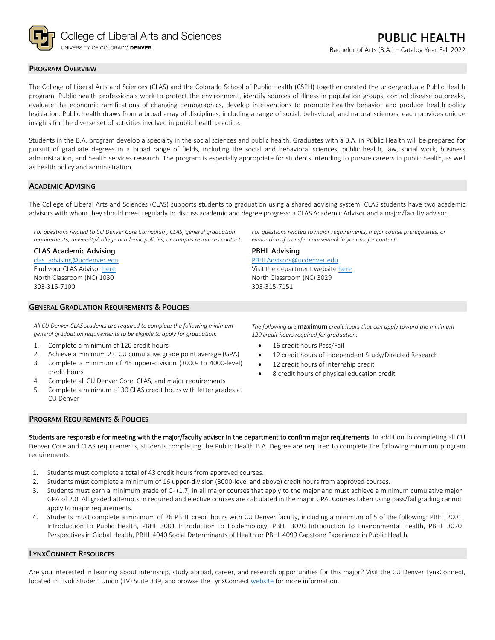

## **PROGRAM OVERVIEW**

The College of Liberal Arts and Sciences (CLAS) and the Colorado School of Public Health (CSPH) together created the undergraduate Public Health program. Public health professionals work to protect the environment, identify sources of illness in population groups, control disease outbreaks, evaluate the economic ramifications of changing demographics, develop interventions to promote healthy behavior and produce health policy legislation. Public health draws from a broad array of disciplines, including a range of social, behavioral, and natural sciences, each provides unique insights for the diverse set of activities involved in public health practice.

Students in the B.A. program develop a specialty in the social sciences and public health. Graduates with a B.A. in Public Health will be prepared for pursuit of graduate degrees in a broad range of fields, including the social and behavioral sciences, public health, law, social work, business administration, and health services research. The program is especially appropriate for students intending to pursue careers in public health, as well as health policy and administration.

## **ACADEMIC ADVISING**

The College of Liberal Arts and Sciences (CLAS) supports students to graduation using a shared advising system. CLAS students have two academic advisors with whom they should meet regularly to discuss academic and degree progress: a CLAS Academic Advisor and a major/faculty advisor.

**PBHL Advising**

303-315-7151

[PBHLAdvisors@ucdenver.edu](mailto:PBHLAdvisors@ucdenver.edu) Visit the department websit[e here](https://clas.ucdenver.edu/hbsc/degree-programs/bachelor-arts-or-science-public-health) North Classroom (NC) 3029

*For questions related to CU Denver Core Curriculum, CLAS, general graduation requirements, university/college academic policies, or campus resources contact:*

#### **CLAS Academic Advising**

[clas\\_advising@ucdenver.edu](mailto:clas_advising@ucdenver.edu) Find your CLAS Adviso[r here](https://clas.ucdenver.edu/advising/) North Classroom (NC) 1030 303-315-7100

## **GENERAL GRADUATION REQUIREMENTS & POLICIES**

*All CU Denver CLAS students are required to complete the following minimum general graduation requirements to be eligible to apply for graduation:*

- 1. Complete a minimum of 120 credit hours
- 2. Achieve a minimum 2.0 CU cumulative grade point average (GPA) 3. Complete a minimum of 45 upper-division (3000- to 4000-level)
- credit hours
- 4. Complete all CU Denver Core, CLAS, and major requirements
- 5. Complete a minimum of 30 CLAS credit hours with letter grades at CU Denver

*The following are* **maximum** *credit hours that can apply toward the minimum 120 credit hours required for graduation:*

*For questions related to major requirements, major course prerequisites, or* 

*evaluation of transfer coursework in your major contact:*

- 16 credit hours Pass/Fail
- 12 credit hours of Independent Study/Directed Research
- 12 credit hours of internship credit
- 8 credit hours of physical education credit

## **PROGRAM REQUIREMENTS & POLICIES**

Students are responsible for meeting with the major/faculty advisor in the department to confirm major requirements. In addition to completing all CU Denver Core and CLAS requirements, students completing the Public Health B.A. Degree are required to complete the following minimum program requirements:

- 1. Students must complete a total of 43 credit hours from approved courses.
- 2. Students must complete a minimum of 16 upper-division (3000-level and above) credit hours from approved courses.
- 3. Students must earn a minimum grade of C- (1.7) in all major courses that apply to the major and must achieve a minimum cumulative major GPA of 2.0. All graded attempts in required and elective courses are calculated in the major GPA. Courses taken using pass/fail grading cannot apply to major requirements.
- 4. Students must complete a minimum of 26 PBHL credit hours with CU Denver faculty, including a minimum of 5 of the following: PBHL 2001 Introduction to Public Health, PBHL 3001 Introduction to Epidemiology, PBHL 3020 Introduction to Environmental Health, PBHL 3070 Perspectives in Global Health, PBHL 4040 Social Determinants of Health or PBHL 4099 Capstone Experience in Public Health.

### **LYNXCONNECT RESOURCES**

Are you interested in learning about internship, study abroad, career, and research opportunities for this major? Visit the CU Denver LynxConnect, located in Tivoli Student Union (TV) Suite 339, and browse the LynxConnec[t website](http://www.ucdenver.edu/lynxconnect/Pages/default.aspx) for more information.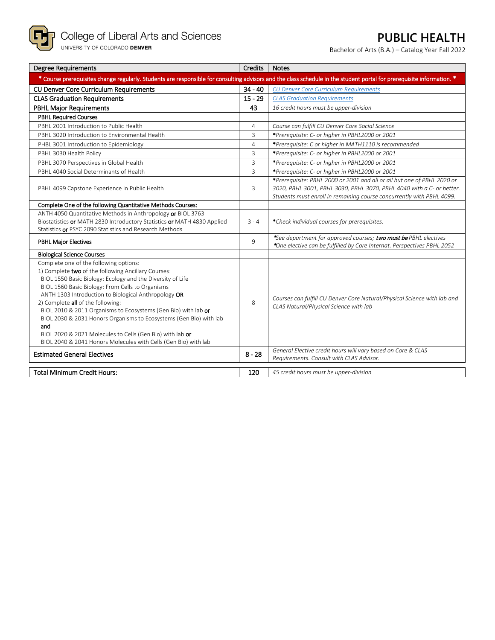

# **PUBLIC HEALTH**

Bachelor of Arts (B.A.) – Catalog Year Fall 2022

| <b>Degree Requirements</b>                                                                                                                                                                                                                                                                                                                                                                                                                                                                                                                                                                  | Credits        | <b>Notes</b>                                                                                                                                                                                                              |
|---------------------------------------------------------------------------------------------------------------------------------------------------------------------------------------------------------------------------------------------------------------------------------------------------------------------------------------------------------------------------------------------------------------------------------------------------------------------------------------------------------------------------------------------------------------------------------------------|----------------|---------------------------------------------------------------------------------------------------------------------------------------------------------------------------------------------------------------------------|
| * Course prerequisites change regularly. Students are responsible for consulting advisors and the class schedule in the student portal for prerequisite information. *                                                                                                                                                                                                                                                                                                                                                                                                                      |                |                                                                                                                                                                                                                           |
| <b>CU Denver Core Curriculum Requirements</b>                                                                                                                                                                                                                                                                                                                                                                                                                                                                                                                                               | $34 - 40$      | <b>CU Denver Core Curriculum Requirements</b>                                                                                                                                                                             |
| <b>CLAS Graduation Requirements</b>                                                                                                                                                                                                                                                                                                                                                                                                                                                                                                                                                         | $15 - 29$      | <b>CLAS Graduation Requirements</b>                                                                                                                                                                                       |
| <b>PBHL Major Requirements</b>                                                                                                                                                                                                                                                                                                                                                                                                                                                                                                                                                              | 43             | 16 credit hours must be upper-division                                                                                                                                                                                    |
| <b>PBHL Required Courses</b>                                                                                                                                                                                                                                                                                                                                                                                                                                                                                                                                                                |                |                                                                                                                                                                                                                           |
| PBHL 2001 Introduction to Public Health                                                                                                                                                                                                                                                                                                                                                                                                                                                                                                                                                     | $\overline{4}$ | Course can fulfill CU Denver Core Social Science                                                                                                                                                                          |
| PBHL 3020 Introduction to Environmental Health                                                                                                                                                                                                                                                                                                                                                                                                                                                                                                                                              | $\overline{3}$ | *Prerequisite: C- or higher in PBHL2000 or 2001                                                                                                                                                                           |
| PHBL 3001 Introduction to Epidemiology                                                                                                                                                                                                                                                                                                                                                                                                                                                                                                                                                      | $\overline{4}$ | *Prerequisite: C or higher in MATH1110 is recommended                                                                                                                                                                     |
| PBHL 3030 Health Policy                                                                                                                                                                                                                                                                                                                                                                                                                                                                                                                                                                     | 3              | *Prerequisite: C- or higher in PBHL2000 or 2001                                                                                                                                                                           |
| PBHL 3070 Perspectives in Global Health                                                                                                                                                                                                                                                                                                                                                                                                                                                                                                                                                     | $\overline{3}$ | *Prerequisite: C- or higher in PBHL2000 or 2001                                                                                                                                                                           |
| PBHL 4040 Social Determinants of Health                                                                                                                                                                                                                                                                                                                                                                                                                                                                                                                                                     | $\overline{3}$ | *Prerequisite: C- or higher in PBHL2000 or 2001                                                                                                                                                                           |
| PBHL 4099 Capstone Experience in Public Health                                                                                                                                                                                                                                                                                                                                                                                                                                                                                                                                              | 3              | *Prerequisite: PBHL 2000 or 2001 and all or all but one of PBHL 2020 or<br>3020, PBHL 3001, PBHL 3030, PBHL 3070, PBHL 4040 with a C- or better.<br>Students must enroll in remaining course concurrently with PBHL 4099. |
| Complete One of the following Quantitative Methods Courses:                                                                                                                                                                                                                                                                                                                                                                                                                                                                                                                                 |                |                                                                                                                                                                                                                           |
| ANTH 4050 Quantitative Methods in Anthropology or BIOL 3763<br>Biostatistics or MATH 2830 Introductory Statistics or MATH 4830 Applied<br>Statistics or PSYC 2090 Statistics and Research Methods                                                                                                                                                                                                                                                                                                                                                                                           | $3 - 4$        | *Check individual courses for prerequisites.                                                                                                                                                                              |
| <b>PBHL Major Electives</b>                                                                                                                                                                                                                                                                                                                                                                                                                                                                                                                                                                 | 9              | See department for approved courses; two must be PBHL electives<br>*One elective can be fulfilled by Core Internat. Perspectives PBHL 2052                                                                                |
| <b>Biological Science Courses</b>                                                                                                                                                                                                                                                                                                                                                                                                                                                                                                                                                           |                |                                                                                                                                                                                                                           |
| Complete one of the following options:<br>1) Complete two of the following Ancillary Courses:<br>BIOL 1550 Basic Biology: Ecology and the Diversity of Life<br>BIOL 1560 Basic Biology: From Cells to Organisms<br>ANTH 1303 Introduction to Biological Anthropology OR<br>2) Complete all of the following:<br>BIOL 2010 & 2011 Organisms to Ecosystems (Gen Bio) with lab or<br>BIOL 2030 & 2031 Honors Organisms to Ecosystems (Gen Bio) with lab<br>and<br>BIOL 2020 & 2021 Molecules to Cells (Gen Bio) with lab or<br>BIOL 2040 & 2041 Honors Molecules with Cells (Gen Bio) with lab | 8              | Courses can fulfill CU Denver Core Natural/Physical Science with lab and<br>CLAS Natural/Physical Science with lab                                                                                                        |
| <b>Estimated General Electives</b>                                                                                                                                                                                                                                                                                                                                                                                                                                                                                                                                                          | $8 - 28$       | General Elective credit hours will vary based on Core & CLAS<br>Requirements. Consult with CLAS Advisor.                                                                                                                  |
| <b>Total Minimum Credit Hours:</b>                                                                                                                                                                                                                                                                                                                                                                                                                                                                                                                                                          | 120            | 45 credit hours must be upper-division                                                                                                                                                                                    |